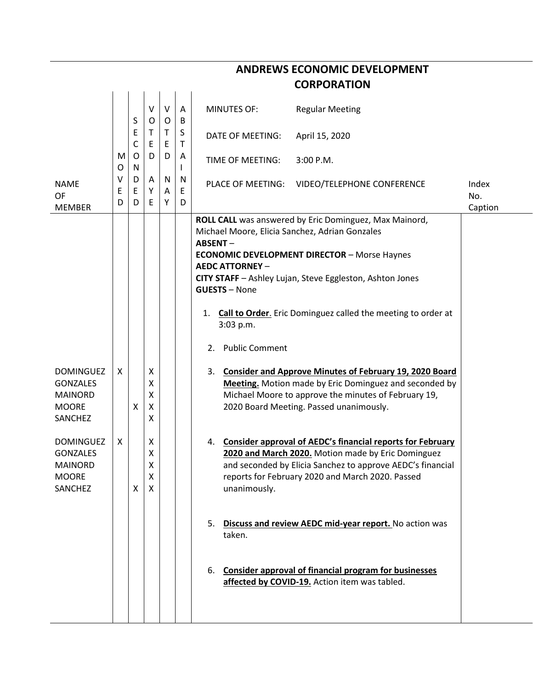|                                                                                  | <b>CORPORATION</b> |                  |                       |                        |             |                                                                                            |                                                                                                                                                                                                                                       |                         |  |  |  |  |  |
|----------------------------------------------------------------------------------|--------------------|------------------|-----------------------|------------------------|-------------|--------------------------------------------------------------------------------------------|---------------------------------------------------------------------------------------------------------------------------------------------------------------------------------------------------------------------------------------|-------------------------|--|--|--|--|--|
|                                                                                  |                    | S                | V<br>O                | $\vee$<br>$\circ$      | A<br>B      | <b>MINUTES OF:</b>                                                                         | <b>Regular Meeting</b>                                                                                                                                                                                                                |                         |  |  |  |  |  |
|                                                                                  |                    | Е<br>C<br>O<br>N | T<br>E<br>D           | $\mathsf{T}$<br>E<br>D | S<br>Τ      | <b>DATE OF MEETING:</b>                                                                    | April 15, 2020                                                                                                                                                                                                                        |                         |  |  |  |  |  |
|                                                                                  | M<br>O             |                  |                       |                        | A           | TIME OF MEETING:                                                                           | 3:00 P.M.                                                                                                                                                                                                                             |                         |  |  |  |  |  |
| <b>NAME</b><br><b>OF</b><br><b>MEMBER</b>                                        | ٧<br>Ε<br>D        | D<br>Ε<br>D      | A<br>Υ<br>E.          | N<br>A<br>Υ            | N<br>E<br>D | PLACE OF MEETING:                                                                          | VIDEO/TELEPHONE CONFERENCE                                                                                                                                                                                                            | Index<br>No.<br>Caption |  |  |  |  |  |
|                                                                                  |                    |                  |                       |                        |             | Michael Moore, Elicia Sanchez, Adrian Gonzales<br><b>ABSENT-</b><br><b>AEDC ATTORNEY -</b> | ROLL CALL was answered by Eric Dominguez, Max Mainord,<br><b>ECONOMIC DEVELOPMENT DIRECTOR - Morse Haynes</b>                                                                                                                         |                         |  |  |  |  |  |
|                                                                                  |                    |                  |                       |                        |             | <b>GUESTS - None</b>                                                                       | CITY STAFF - Ashley Lujan, Steve Eggleston, Ashton Jones                                                                                                                                                                              |                         |  |  |  |  |  |
|                                                                                  |                    |                  |                       |                        |             | 1.<br>3:03 p.m.                                                                            | Call to Order. Eric Dominguez called the meeting to order at                                                                                                                                                                          |                         |  |  |  |  |  |
|                                                                                  |                    |                  |                       |                        |             | 2. Public Comment                                                                          |                                                                                                                                                                                                                                       |                         |  |  |  |  |  |
| <b>DOMINGUEZ</b><br><b>GONZALES</b><br><b>MAINORD</b><br><b>MOORE</b><br>SANCHEZ | X                  | X                | Χ<br>Χ<br>Χ<br>X<br>x |                        |             |                                                                                            | 3. Consider and Approve Minutes of February 19, 2020 Board<br>Meeting. Motion made by Eric Dominguez and seconded by<br>Michael Moore to approve the minutes of February 19,<br>2020 Board Meeting. Passed unanimously.               |                         |  |  |  |  |  |
| <b>DOMINGUEZ</b><br><b>GONZALES</b><br><b>MAINORD</b><br><b>MOORE</b><br>SANCHEZ | X                  | X                | Χ<br>Χ<br>Χ<br>X<br>X |                        |             | unanimously.                                                                               | 4. Consider approval of AEDC's financial reports for February<br>2020 and March 2020. Motion made by Eric Dominguez<br>and seconded by Elicia Sanchez to approve AEDC's financial<br>reports for February 2020 and March 2020. Passed |                         |  |  |  |  |  |
|                                                                                  |                    |                  |                       |                        |             | taken.                                                                                     | 5. Discuss and review AEDC mid-year report. No action was                                                                                                                                                                             |                         |  |  |  |  |  |
|                                                                                  |                    |                  |                       |                        |             |                                                                                            | 6. Consider approval of financial program for businesses<br>affected by COVID-19. Action item was tabled.                                                                                                                             |                         |  |  |  |  |  |
|                                                                                  |                    |                  |                       |                        |             |                                                                                            |                                                                                                                                                                                                                                       |                         |  |  |  |  |  |

**ANDREWS ECONOMIC DEVELOPMENT**